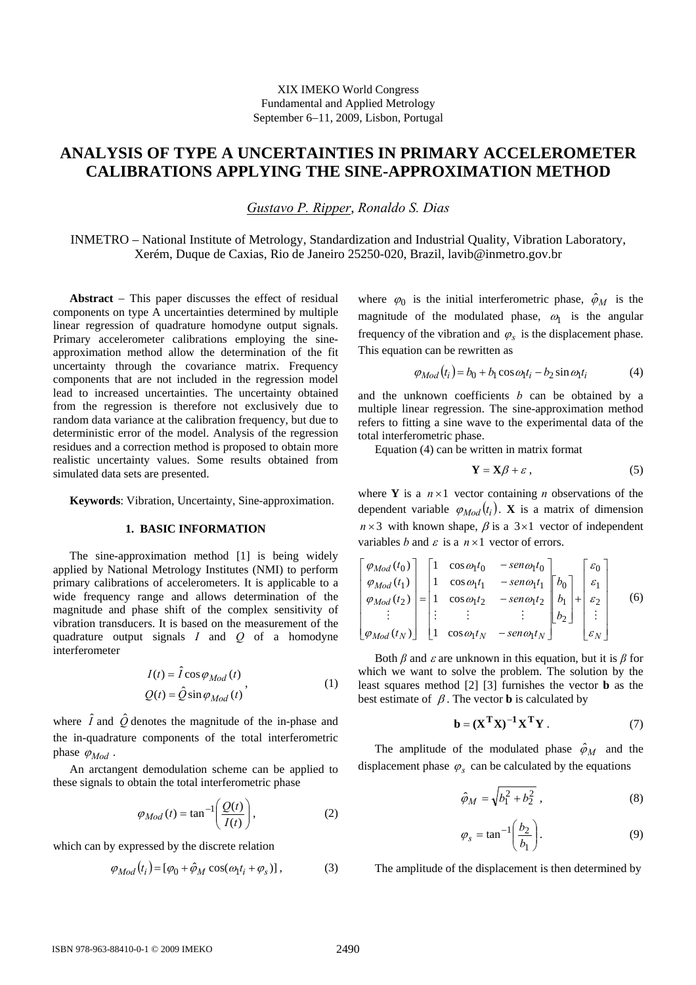# **ANALYSIS OF TYPE A UNCERTAINTIES IN PRIMARY ACCELEROMETER CALIBRATIONS APPLYING THE SINE-APPROXIMATION METHOD**

*Gustavo P. Ripper*, *Ronaldo S. Dias* 

INMETRO – National Institute of Metrology, Standardization and Industrial Quality, Vibration Laboratory, Xerém, Duque de Caxias, Rio de Janeiro 25250-020, Brazil, lavib@inmetro.gov.br

**Abstract** − This paper discusses the effect of residual components on type A uncertainties determined by multiple linear regression of quadrature homodyne output signals. Primary accelerometer calibrations employing the sineapproximation method allow the determination of the fit uncertainty through the covariance matrix. Frequency components that are not included in the regression model lead to increased uncertainties. The uncertainty obtained from the regression is therefore not exclusively due to random data variance at the calibration frequency, but due to deterministic error of the model. Analysis of the regression residues and a correction method is proposed to obtain more realistic uncertainty values. Some results obtained from simulated data sets are presented.

**Keywords**: Vibration, Uncertainty, Sine-approximation.

## **1. BASIC INFORMATION**

The sine-approximation method [1] is being widely applied by National Metrology Institutes (NMI) to perform primary calibrations of accelerometers. It is applicable to a wide frequency range and allows determination of the magnitude and phase shift of the complex sensitivity of vibration transducers. It is based on the measurement of the quadrature output signals *I* and *Q* of a homodyne interferometer

$$
I(t) = \hat{I} \cos \varphi_{Mod}(t)
$$
  
 
$$
Q(t) = \hat{Q} \sin \varphi_{Mod}(t)
$$
 (1)

where  $\hat{I}$  and  $\hat{Q}$  denotes the magnitude of the in-phase and the in-quadrature components of the total interferometric phase  $\varphi_{Mod}$ .

An arctangent demodulation scheme can be applied to these signals to obtain the total interferometric phase

$$
\varphi_{Mod} (t) = \tan^{-1} \left( \frac{Q(t)}{I(t)} \right), \tag{2}
$$

which can by expressed by the discrete relation

$$
\varphi_{Mod}(t_i) = [\varphi_0 + \hat{\varphi}_M \cos(\omega_1 t_i + \varphi_s)], \tag{3}
$$

where  $\varphi_0$  is the initial interferometric phase,  $\hat{\varphi}_M$  is the magnitude of the modulated phase,  $\omega_1$  is the angular frequency of the vibration and  $\varphi_s$  is the displacement phase. This equation can be rewritten as

$$
\varphi_{Mod}(t_i) = b_0 + b_1 \cos \omega_1 t_i - b_2 \sin \omega_1 t_i \tag{4}
$$

and the unknown coefficients *b* can be obtained by a multiple linear regression. The sine-approximation method refers to fitting a sine wave to the experimental data of the total interferometric phase.

Equation (4) can be written in matrix format

$$
\mathbf{Y} = \mathbf{X}\boldsymbol{\beta} + \boldsymbol{\varepsilon} \,,\tag{5}
$$

where **Y** is a  $n \times 1$  vector containing *n* observations of the dependent variable  $\varphi_{Mod}(t_i)$ . **X** is a matrix of dimension  $n \times 3$  with known shape,  $\beta$  is a  $3 \times 1$  vector of independent variables *b* and  $\varepsilon$  is a  $n \times 1$  vector of errors.

$$
\begin{bmatrix}\n\varphi_{Mod}(t_0) \\
\varphi_{Mod}(t_1) \\
\varphi_{Mod}(t_2) \\
\vdots \\
\varphi_{Mod}(t_N)\n\end{bmatrix} =\n\begin{bmatrix}\n1 & \cos \omega_1 t_0 & -\operatorname{sen} \omega_1 t_0 \\
1 & \cos \omega_1 t_1 & -\operatorname{sen} \omega_1 t_1 \\
1 & \cos \omega_1 t_2 & -\operatorname{sen} \omega_1 t_2 \\
\vdots & \vdots & \vdots \\
1 & \cos \omega_1 t_N & -\operatorname{sen} \omega_1 t_N\n\end{bmatrix}\n\begin{bmatrix}\n\varepsilon_0 \\
\varepsilon_1 \\
h_1 \\
\vdots \\
\varepsilon_N\n\end{bmatrix} +\n\begin{bmatrix}\n\varepsilon_0 \\
\varepsilon_1 \\
\varepsilon_2 \\
\vdots \\
\varepsilon_N\n\end{bmatrix}
$$
\n(6)

Both  $\beta$  and  $\varepsilon$  are unknown in this equation, but it is  $\beta$  for which we want to solve the problem. The solution by the least squares method [2] [3] furnishes the vector **b** as the best estimate of  $\beta$ . The vector **b** is calculated by

$$
\mathbf{b} = (\mathbf{X}^{\mathrm{T}} \mathbf{X})^{-1} \mathbf{X}^{\mathrm{T}} \mathbf{Y} . \tag{7}
$$

The amplitude of the modulated phase  $\hat{\varphi}_M$  and the displacement phase  $\varphi_s$  can be calculated by the equations

$$
\hat{\varphi}_M = \sqrt{b_1^2 + b_2^2} \,, \tag{8}
$$

$$
\varphi_s = \tan^{-1} \left( \frac{b_2}{b_1} \right). \tag{9}
$$

The amplitude of the displacement is then determined by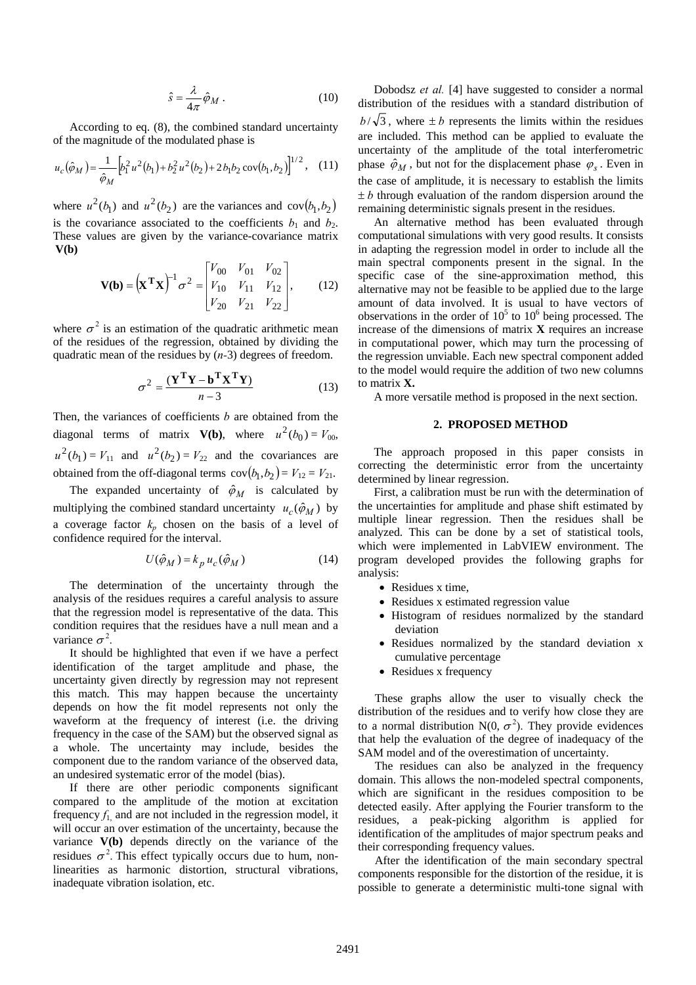$$
\hat{s} = \frac{\lambda}{4\pi} \hat{\varphi}_M . \tag{10}
$$

According to eq. (8), the combined standard uncertainty of the magnitude of the modulated phase is

$$
u_c(\hat{\varphi}_M) = \frac{1}{\hat{\varphi}_M} \Big[ b_1^2 u^2(b_1) + b_2^2 u^2(b_2) + 2b_1 b_2 \operatorname{cov}(b_1, b_2) \Big]^{1/2}, \quad (11)
$$

where  $u^2(b_1)$  and  $u^2(b_2)$  are the variances and  $cov(b_1, b_2)$ is the covariance associated to the coefficients  $b_1$  and  $b_2$ . These values are given by the variance-covariance matrix **V(b)**

$$
\mathbf{V(b)} = (\mathbf{X}^{\mathrm{T}} \mathbf{X})^{-1} \sigma^2 = \begin{bmatrix} V_{00} & V_{01} & V_{02} \\ V_{10} & V_{11} & V_{12} \\ V_{20} & V_{21} & V_{22} \end{bmatrix}, \quad (12)
$$

where  $\sigma^2$  is an estimation of the quadratic arithmetic mean of the residues of the regression, obtained by dividing the quadratic mean of the residues by (*n-*3) degrees of freedom.

$$
\sigma^2 = \frac{(\mathbf{Y}^{\mathbf{T}} \mathbf{Y} - \mathbf{b}^{\mathbf{T}} \mathbf{X}^{\mathbf{T}} \mathbf{Y})}{n - 3}
$$
(13)

Then, the variances of coefficients *b* are obtained from the diagonal terms of matrix **V(b)**, where  $u^2(b_0) = V_{00}$ ,  $u^{2}(b_{1}) = V_{11}$  and  $u^{2}(b_{2}) = V_{22}$  and the covariances are obtained from the off-diagonal terms  $cov(b_1, b_2) = V_{12} = V_{21}$ .

The expanded uncertainty of  $\hat{\varphi}_M$  is calculated by multiplying the combined standard uncertainty  $u_c(\hat{\varphi}_M)$  by a coverage factor  $k_p$  chosen on the basis of a level of confidence required for the interval.

$$
U(\hat{\phi}_M) = k_p u_c(\hat{\phi}_M)
$$
 (14)

The determination of the uncertainty through the analysis of the residues requires a careful analysis to assure that the regression model is representative of the data. This condition requires that the residues have a null mean and a variance  $\sigma^2$ .

It should be highlighted that even if we have a perfect identification of the target amplitude and phase, the uncertainty given directly by regression may not represent this match. This may happen because the uncertainty depends on how the fit model represents not only the waveform at the frequency of interest (i.e. the driving frequency in the case of the SAM) but the observed signal as a whole. The uncertainty may include, besides the component due to the random variance of the observed data, an undesired systematic error of the model (bias).

If there are other periodic components significant compared to the amplitude of the motion at excitation frequency  $f_1$  and are not included in the regression model, it will occur an over estimation of the uncertainty, because the variance **V(b)** depends directly on the variance of the residues  $\sigma^2$ . This effect typically occurs due to hum, nonlinearities as harmonic distortion, structural vibrations, inadequate vibration isolation, etc.

Dobodsz *et al.* [4] have suggested to consider a normal distribution of the residues with a standard distribution of  $b/\sqrt{3}$ , where  $\pm b$  represents the limits within the residues are included. This method can be applied to evaluate the uncertainty of the amplitude of the total interferometric phase  $\hat{\varphi}_M$ , but not for the displacement phase  $\varphi_s$ . Even in the case of amplitude, it is necessary to establish the limits  $\pm b$  through evaluation of the random dispersion around the remaining deterministic signals present in the residues.

An alternative method has been evaluated through computational simulations with very good results. It consists in adapting the regression model in order to include all the main spectral components present in the signal. In the specific case of the sine-approximation method, this alternative may not be feasible to be applied due to the large amount of data involved. It is usual to have vectors of observations in the order of  $10^5$  to  $10^6$  being processed. The increase of the dimensions of matrix **X** requires an increase in computational power, which may turn the processing of the regression unviable. Each new spectral component added to the model would require the addition of two new columns to matrix **X.**

A more versatile method is proposed in the next section.

### **2. PROPOSED METHOD**

The approach proposed in this paper consists in correcting the deterministic error from the uncertainty determined by linear regression.

First, a calibration must be run with the determination of the uncertainties for amplitude and phase shift estimated by multiple linear regression. Then the residues shall be analyzed. This can be done by a set of statistical tools, which were implemented in LabVIEW environment. The program developed provides the following graphs for analysis:

- Residues x time,
- Residues x estimated regression value
- Histogram of residues normalized by the standard deviation
- Residues normalized by the standard deviation x cumulative percentage
- Residues x frequency

These graphs allow the user to visually check the distribution of the residues and to verify how close they are to a normal distribution N(0,  $\sigma^2$ ). They provide evidences that help the evaluation of the degree of inadequacy of the SAM model and of the overestimation of uncertainty.

The residues can also be analyzed in the frequency domain. This allows the non-modeled spectral components, which are significant in the residues composition to be detected easily. After applying the Fourier transform to the residues, a peak-picking algorithm is applied for identification of the amplitudes of major spectrum peaks and their corresponding frequency values.

After the identification of the main secondary spectral components responsible for the distortion of the residue, it is possible to generate a deterministic multi-tone signal with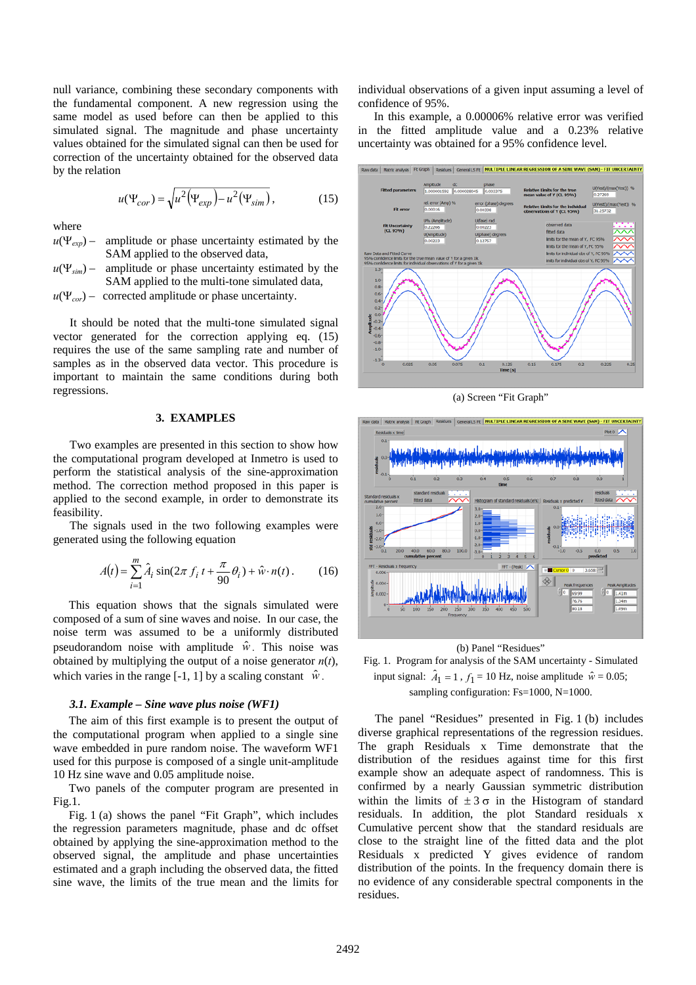null variance, combining these secondary components with the fundamental component. A new regression using the same model as used before can then be applied to this simulated signal. The magnitude and phase uncertainty values obtained for the simulated signal can then be used for correction of the uncertainty obtained for the observed data by the relation

$$
u(\Psi_{cor}) = \sqrt{u^2(\Psi_{exp}) - u^2(\Psi_{sim})},
$$
\n(15)

where

*u*(Ψ*exp*) – amplitude or phase uncertainty estimated by the SAM applied to the observed data,

 $u(\Psi_{sim})$  – amplitude or phase uncertainty estimated by the SAM applied to the multi-tone simulated data,

 $u(\Psi_{cor})$  – corrected amplitude or phase uncertainty.

It should be noted that the multi-tone simulated signal vector generated for the correction applying eq. (15) requires the use of the same sampling rate and number of samples as in the observed data vector. This procedure is important to maintain the same conditions during both regressions.

# **3. EXAMPLES**

Two examples are presented in this section to show how the computational program developed at Inmetro is used to perform the statistical analysis of the sine-approximation method. The correction method proposed in this paper is applied to the second example, in order to demonstrate its feasibility.

The signals used in the two following examples were generated using the following equation

$$
A(t) = \sum_{i=1}^{m} \hat{A}_i \sin(2\pi f_i t + \frac{\pi}{90} \theta_i) + \hat{w} \cdot n(t).
$$
 (16)

This equation shows that the signals simulated were composed of a sum of sine waves and noise. In our case, the noise term was assumed to be a uniformly distributed pseudorandom noise with amplitude  $\hat{w}$ . This noise was obtained by multiplying the output of a noise generator *n*(*t*), which varies in the range [-1, 1] by a scaling constant  $\hat{w}$ .

#### *3.1. Example – Sine wave plus noise (WF1)*

The aim of this first example is to present the output of the computational program when applied to a single sine wave embedded in pure random noise. The waveform WF1 used for this purpose is composed of a single unit-amplitude 10 Hz sine wave and 0.05 amplitude noise.

Two panels of the computer program are presented in Fig.1.

Fig. 1 (a) shows the panel "Fit Graph", which includes the regression parameters magnitude, phase and dc offset obtained by applying the sine-approximation method to the observed signal, the amplitude and phase uncertainties estimated and a graph including the observed data, the fitted sine wave, the limits of the true mean and the limits for individual observations of a given input assuming a level of confidence of 95%.

In this example, a 0.00006% relative error was verified in the fitted amplitude value and a 0.23% relative uncertainty was obtained for a 95% confidence level.



(a) Screen "Fit Graph"



(b) Panel "Residues" Fig. 1. Program for analysis of the SAM uncertainty - Simulated

input signal:  $\hat{A}_1 = 1$ ,  $f_1 = 10$  Hz, noise amplitude  $\hat{w} = 0.05$ ; sampling configuration: Fs=1000, N=1000.

The panel "Residues" presented in Fig. 1 (b) includes diverse graphical representations of the regression residues. The graph Residuals x Time demonstrate that the distribution of the residues against time for this first example show an adequate aspect of randomness. This is confirmed by a nearly Gaussian symmetric distribution within the limits of  $\pm 3\sigma$  in the Histogram of standard residuals. In addition, the plot Standard residuals x Cumulative percent show that the standard residuals are close to the straight line of the fitted data and the plot Residuals x predicted Y gives evidence of random distribution of the points. In the frequency domain there is no evidence of any considerable spectral components in the residues.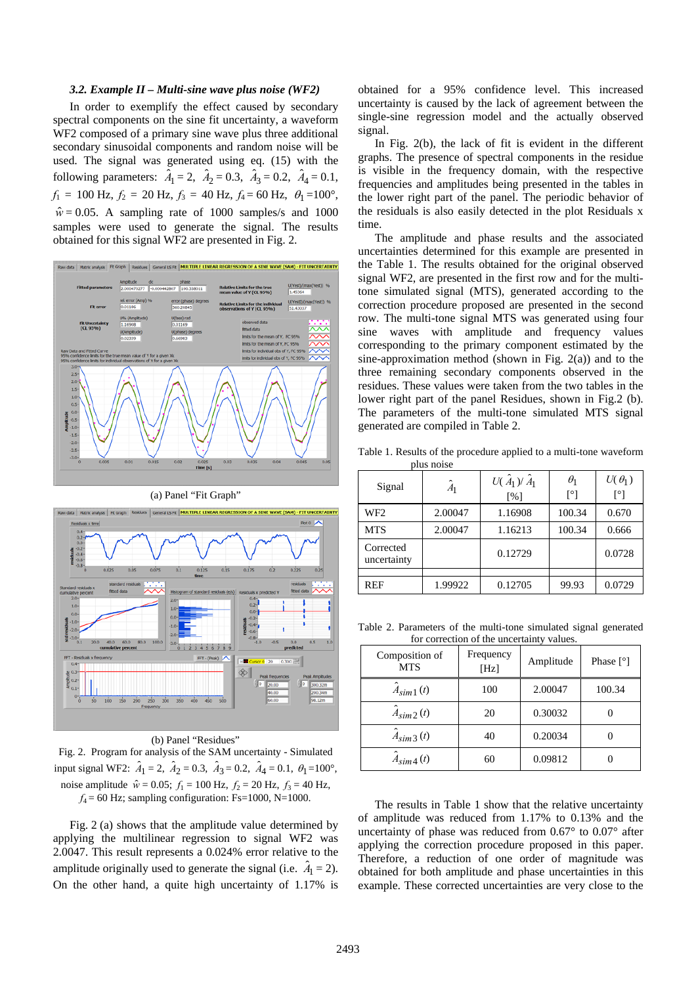#### *3.2. Example II – Multi-sine wave plus noise (WF2)*

In order to exemplify the effect caused by secondary spectral components on the sine fit uncertainty, a waveform WF2 composed of a primary sine wave plus three additional secondary sinusoidal components and random noise will be used. The signal was generated using eq. (15) with the following parameters:  $\hat{A}_1 = 2$ ,  $\hat{A}_2 = 0.3$ ,  $\hat{A}_3 = 0.2$ ,  $\hat{A}_4 = 0.1$ ,  $f_1 = 100$  Hz,  $f_2 = 20$  Hz,  $f_3 = 40$  Hz,  $f_4 = 60$  Hz,  $\theta_1 = 100^\circ$ ,  $\hat{w} = 0.05$ . A sampling rate of 1000 samples/s and 1000 samples were used to generate the signal. The results obtained for this signal WF2 are presented in Fig. 2.





# (b) Panel "Residues"

Fig. 2. Program for analysis of the SAM uncertainty - Simulated input signal WF2:  $\hat{A}_1 = 2$ ,  $\hat{A}_2 = 0.3$ ,  $\hat{A}_3 = 0.2$ ,  $\hat{A}_4 = 0.1$ ,  $\theta_1 = 100^\circ$ , noise amplitude  $\hat{w} = 0.05$ ;  $f_1 = 100$  Hz,  $f_2 = 20$  Hz,  $f_3 = 40$  Hz,  $f_4$  = 60 Hz; sampling configuration: Fs=1000, N=1000.

Fig. 2 (a) shows that the amplitude value determined by applying the multilinear regression to signal WF2 was 2.0047. This result represents a 0.024% error relative to the amplitude originally used to generate the signal (i.e.  $\hat{A}_1 = 2$ ). On the other hand, a quite high uncertainty of 1.17% is

obtained for a 95% confidence level. This increased uncertainty is caused by the lack of agreement between the single-sine regression model and the actually observed signal.

In Fig. 2(b), the lack of fit is evident in the different graphs. The presence of spectral components in the residue is visible in the frequency domain, with the respective frequencies and amplitudes being presented in the tables in the lower right part of the panel. The periodic behavior of the residuals is also easily detected in the plot Residuals x time.

The amplitude and phase results and the associated uncertainties determined for this example are presented in the Table 1. The results obtained for the original observed signal WF2, are presented in the first row and for the multitone simulated signal (MTS), generated according to the correction procedure proposed are presented in the second row. The multi-tone signal MTS was generated using four sine waves with amplitude and frequency values corresponding to the primary component estimated by the sine-approximation method (shown in Fig. 2(a)) and to the three remaining secondary components observed in the residues. These values were taken from the two tables in the lower right part of the panel Residues, shown in Fig.2 (b). The parameters of the multi-tone simulated MTS signal generated are compiled in Table 2.

Table 1. Results of the procedure applied to a multi-tone waveform plus noise

| Signal                   | $\ddot{A}_1$ | $U(\hat{A}_1)/\hat{A}_1$<br>$\lceil\% \rceil$ | $\theta_1$<br>ſ°۱ | $U(\theta_1)$<br>$\lceil$ °1 |
|--------------------------|--------------|-----------------------------------------------|-------------------|------------------------------|
| WF <sub>2</sub>          | 2.00047      | 1.16908                                       | 100.34            | 0.670                        |
| <b>MTS</b>               | 2.00047      | 1.16213                                       | 100.34            | 0.666                        |
| Corrected<br>uncertainty |              | 0.12729                                       |                   | 0.0728                       |
|                          |              |                                               |                   |                              |
| <b>REF</b>               | 1.99922      | 0.12705                                       | 99.93             | 0.0729                       |

Table 2. Parameters of the multi-tone simulated signal generated for correction of the uncertainty values.

| Composition of<br><b>MTS</b> | Frequency<br>[Hz] | Amplitude | Phase $\lceil$ <sup>o</sup> $\rceil$ |
|------------------------------|-------------------|-----------|--------------------------------------|
| $\ddot{A}_{sim1}(t)$         | 100               | 2.00047   | 100.34                               |
| $\hat{A}_{\text{sim2}}(t)$   | 20                | 0.30032   |                                      |
| $\hat{A}_{\text{sim}3}(t)$   | 40                | 0.20034   |                                      |
| $\ddot{A}_{\text{sim4}}(t)$  | 60                | 0.09812   |                                      |

The results in Table 1 show that the relative uncertainty of amplitude was reduced from 1.17% to 0.13% and the uncertainty of phase was reduced from 0.67° to 0.07° after applying the correction procedure proposed in this paper. Therefore, a reduction of one order of magnitude was obtained for both amplitude and phase uncertainties in this example. These corrected uncertainties are very close to the